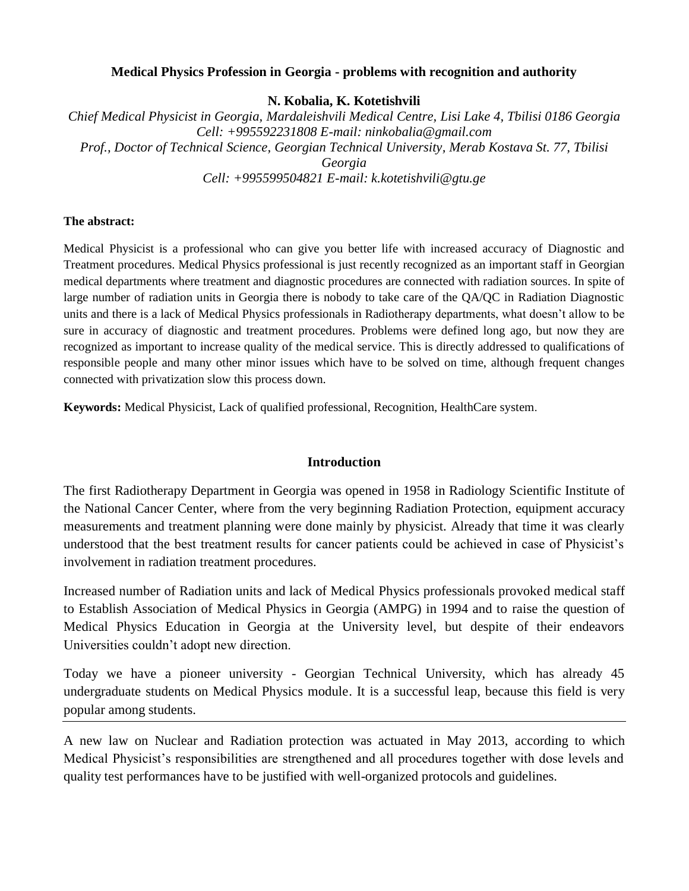### **Medical Physics Profession in Georgia - problems with recognition and authority**

**N. Kobalia, K. Kotetishvili**

*Chief Medical Physicist in Georgia, Mardaleishvili Medical Centre, Lisi Lake 4, Tbilisi 0186 Georgia Cell: +995592231808 E-mail: ninkobalia@gmail.com Prof., Doctor of Technical Science, Georgian Technical University, Merab Kostava St. 77, Tbilisi Georgia Cell: +995599504821 E-mail: k.kotetishvili@gtu.ge*

### **The abstract:**

Medical Physicist is a professional who can give you better life with increased accuracy of Diagnostic and Treatment procedures. Medical Physics professional is just recently recognized as an important staff in Georgian medical departments where treatment and diagnostic procedures are connected with radiation sources. In spite of large number of radiation units in Georgia there is nobody to take care of the QA/QC in Radiation Diagnostic units and there is a lack of Medical Physics professionals in Radiotherapy departments, what doesn't allow to be sure in accuracy of diagnostic and treatment procedures. Problems were defined long ago, but now they are recognized as important to increase quality of the medical service. This is directly addressed to qualifications of responsible people and many other minor issues which have to be solved on time, although frequent changes connected with privatization slow this process down.

**Keywords:** Medical Physicist, Lack of qualified professional, Recognition, HealthCare system.

## **Introduction**

The first Radiotherapy Department in Georgia was opened in 1958 in Radiology Scientific Institute of the National Cancer Center, where from the very beginning Radiation Protection, equipment accuracy measurements and treatment planning were done mainly by physicist. Already that time it was clearly understood that the best treatment results for cancer patients could be achieved in case of Physicist's involvement in radiation treatment procedures.

Increased number of Radiation units and lack of Medical Physics professionals provoked medical staff to Establish Association of Medical Physics in Georgia (AMPG) in 1994 and to raise the question of Medical Physics Education in Georgia at the University level, but despite of their endeavors Universities couldn't adopt new direction.

Today we have a pioneer university - Georgian Technical University, which has already 45 undergraduate students on Medical Physics module. It is a successful leap, because this field is very popular among students.

A new law on Nuclear and Radiation protection was actuated in May 2013, according to which Medical Physicist's responsibilities are strengthened and all procedures together with dose levels and quality test performances have to be justified with well-organized protocols and guidelines.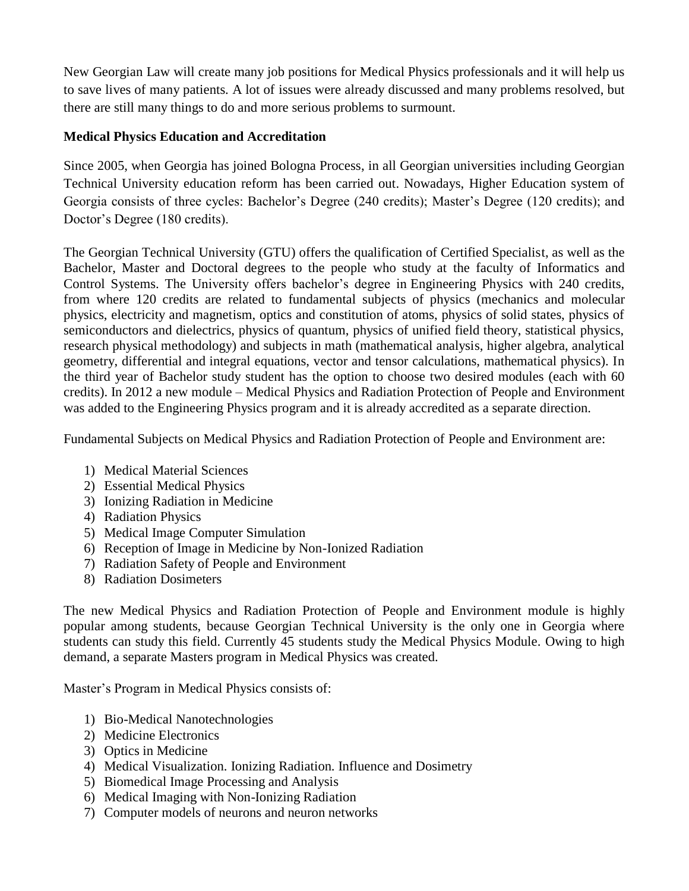New Georgian Law will create many job positions for Medical Physics professionals and it will help us to save lives of many patients. A lot of issues were already discussed and many problems resolved, but there are still many things to do and more serious problems to surmount.

# **Medical Physics Education and Accreditation**

Since 2005, when Georgia has joined Bologna Process, in all Georgian universities including Georgian Technical University education reform has been carried out. Nowadays, Higher Education system of Georgia consists of three cycles: Bachelor's Degree (240 credits); Master's Degree (120 credits); and Doctor's Degree (180 credits).

The Georgian Technical University (GTU) offers the qualification of Certified Specialist, as well as the Bachelor, Master and Doctoral degrees to the people who study at the faculty of Informatics and Control Systems. The University offers bachelor's degree in Engineering Physics with 240 credits, from where 120 credits are related to fundamental subjects of physics (mechanics and molecular physics, electricity and magnetism, optics and constitution of atoms, physics of solid states, physics of semiconductors and dielectrics, physics of quantum, physics of unified field theory, statistical physics, research physical methodology) and subjects in math (mathematical analysis, higher algebra, analytical geometry, differential and integral equations, vector and tensor calculations, mathematical physics). In the third year of Bachelor study student has the option to choose two desired modules (each with 60 credits). In 2012 a new module – Medical Physics and Radiation Protection of People and Environment was added to the Engineering Physics program and it is already accredited as a separate direction.

Fundamental Subjects on Medical Physics and Radiation Protection of People and Environment are:

- 1) Medical Material Sciences
- 2) Essential Medical Physics
- 3) Ionizing Radiation in Medicine
- 4) Radiation Physics
- 5) Medical Image Computer Simulation
- 6) Reception of Image in Medicine by Non-Ionized Radiation
- 7) Radiation Safety of People and Environment
- 8) Radiation Dosimeters

The new Medical Physics and Radiation Protection of People and Environment module is highly popular among students, because Georgian Technical University is the only one in Georgia where students can study this field. Currently 45 students study the Medical Physics Module. Owing to high demand, a separate Masters program in Medical Physics was created.

Master's Program in Medical Physics consists of:

- 1) Bio-Medical Nanotechnologies
- 2) Medicine Electronics
- 3) Optics in Medicine
- 4) Medical Visualization. Ionizing Radiation. Influence and Dosimetry
- 5) Biomedical Image Processing and Analysis
- 6) Medical Imaging with Non-Ionizing Radiation
- 7) Computer models of neurons and neuron networks